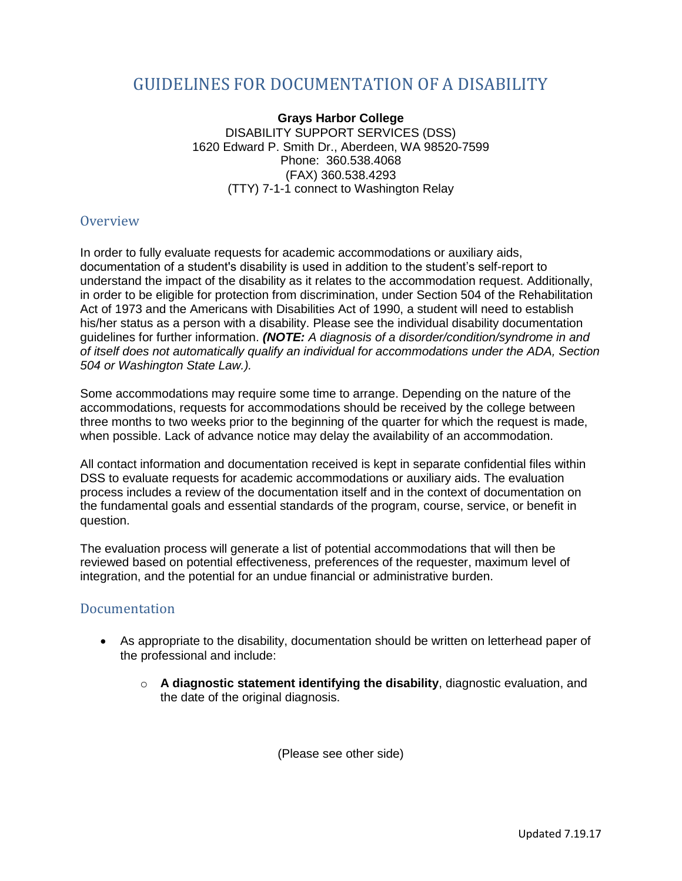## GUIDELINES FOR DOCUMENTATION OF A DISABILITY

**Grays Harbor College** DISABILITY SUPPORT SERVICES (DSS) 1620 Edward P. Smith Dr., Aberdeen, WA 98520-7599 Phone: 360.538.4068 (FAX) 360.538.4293 (TTY) 7-1-1 connect to Washington Relay

## **Overview**

In order to fully evaluate requests for academic accommodations or auxiliary aids, documentation of a student's disability is used in addition to the student's self-report to understand the impact of the disability as it relates to the accommodation request. Additionally, in order to be eligible for protection from discrimination, under Section 504 of the Rehabilitation Act of 1973 and the Americans with Disabilities Act of 1990, a student will need to establish his/her status as a person with a disability. Please see the individual disability documentation guidelines for further information. *(NOTE: A diagnosis of a disorder/condition/syndrome in and of itself does not automatically qualify an individual for accommodations under the ADA, Section 504 or Washington State Law.).* 

Some accommodations may require some time to arrange. Depending on the nature of the accommodations, requests for accommodations should be received by the college between three months to two weeks prior to the beginning of the quarter for which the request is made, when possible. Lack of advance notice may delay the availability of an accommodation.

All contact information and documentation received is kept in separate confidential files within DSS to evaluate requests for academic accommodations or auxiliary aids. The evaluation process includes a review of the documentation itself and in the context of documentation on the fundamental goals and essential standards of the program, course, service, or benefit in question.

The evaluation process will generate a list of potential accommodations that will then be reviewed based on potential effectiveness, preferences of the requester, maximum level of integration, and the potential for an undue financial or administrative burden.

## Documentation

- As appropriate to the disability, documentation should be written on letterhead paper of the professional and include:
	- o **A diagnostic statement identifying the disability**, diagnostic evaluation, and the date of the original diagnosis.

(Please see other side)